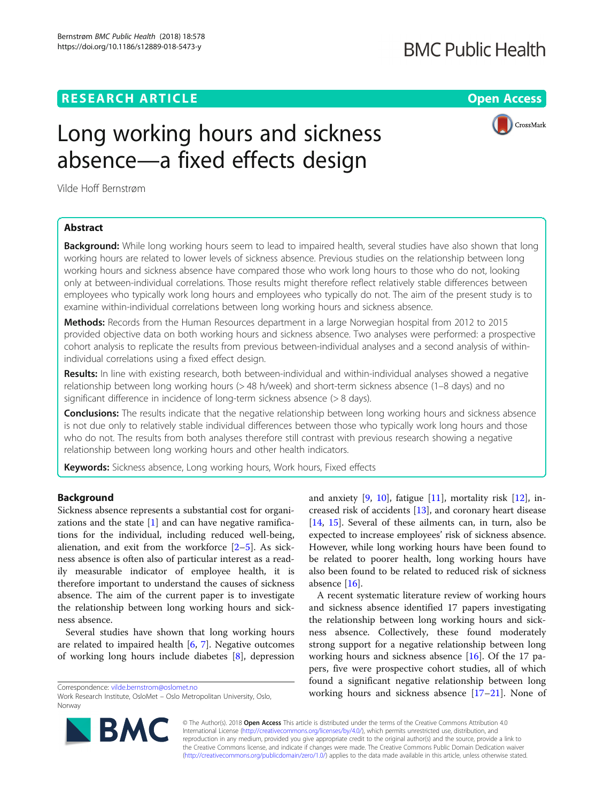# **RESEARCH ARTICLE Example 2014 12:30 The Open Access**

# **BMC Public Health**

CrossMark

# Long working hours and sickness absence—a fixed effects design

Vilde Hoff Bernstrøm

# Abstract

**Background:** While long working hours seem to lead to impaired health, several studies have also shown that long working hours are related to lower levels of sickness absence. Previous studies on the relationship between long working hours and sickness absence have compared those who work long hours to those who do not, looking only at between-individual correlations. Those results might therefore reflect relatively stable differences between employees who typically work long hours and employees who typically do not. The aim of the present study is to examine within-individual correlations between long working hours and sickness absence.

Methods: Records from the Human Resources department in a large Norwegian hospital from 2012 to 2015 provided objective data on both working hours and sickness absence. Two analyses were performed: a prospective cohort analysis to replicate the results from previous between-individual analyses and a second analysis of withinindividual correlations using a fixed effect design.

Results: In line with existing research, both between-individual and within-individual analyses showed a negative relationship between long working hours (> 48 h/week) and short-term sickness absence (1–8 days) and no significant difference in incidence of long-term sickness absence (> 8 days).

**Conclusions:** The results indicate that the negative relationship between long working hours and sickness absence is not due only to relatively stable individual differences between those who typically work long hours and those who do not. The results from both analyses therefore still contrast with previous research showing a negative relationship between long working hours and other health indicators.

**Keywords:** Sickness absence, Long working hours, Work hours, Fixed effects

# **Background**

Sickness absence represents a substantial cost for organizations and the state [\[1](#page-7-0)] and can have negative ramifications for the individual, including reduced well-being, alienation, and exit from the workforce  $[2-5]$  $[2-5]$  $[2-5]$ . As sickness absence is often also of particular interest as a readily measurable indicator of employee health, it is therefore important to understand the causes of sickness absence. The aim of the current paper is to investigate the relationship between long working hours and sickness absence.

Several studies have shown that long working hours are related to impaired health [[6](#page-8-0), [7](#page-8-0)]. Negative outcomes of working long hours include diabetes [\[8](#page-8-0)], depression

and anxiety  $[9, 10]$  $[9, 10]$  $[9, 10]$  $[9, 10]$ , fatigue  $[11]$  $[11]$ , mortality risk  $[12]$  $[12]$ , increased risk of accidents [[13\]](#page-8-0), and coronary heart disease [[14,](#page-8-0) [15\]](#page-8-0). Several of these ailments can, in turn, also be expected to increase employees' risk of sickness absence. However, while long working hours have been found to be related to poorer health, long working hours have also been found to be related to reduced risk of sickness absence [[16\]](#page-8-0).

A recent systematic literature review of working hours and sickness absence identified 17 papers investigating the relationship between long working hours and sickness absence. Collectively, these found moderately strong support for a negative relationship between long working hours and sickness absence [[16](#page-8-0)]. Of the 17 papers, five were prospective cohort studies, all of which found a significant negative relationship between long working hours and sickness absence [[17](#page-8-0)–[21](#page-8-0)]. None of Correspondence: [vilde.bernstrom@oslomet.no](mailto:vilde.bernstrom@oslomet.no)

> © The Author(s). 2018 Open Access This article is distributed under the terms of the Creative Commons Attribution 4.0 International License [\(http://creativecommons.org/licenses/by/4.0/](http://creativecommons.org/licenses/by/4.0/)), which permits unrestricted use, distribution, and reproduction in any medium, provided you give appropriate credit to the original author(s) and the source, provide a link to the Creative Commons license, and indicate if changes were made. The Creative Commons Public Domain Dedication waiver [\(http://creativecommons.org/publicdomain/zero/1.0/](http://creativecommons.org/publicdomain/zero/1.0/)) applies to the data made available in this article, unless otherwise stated.



Work Research Institute, OsloMet – Oslo Metropolitan University, Oslo, Norway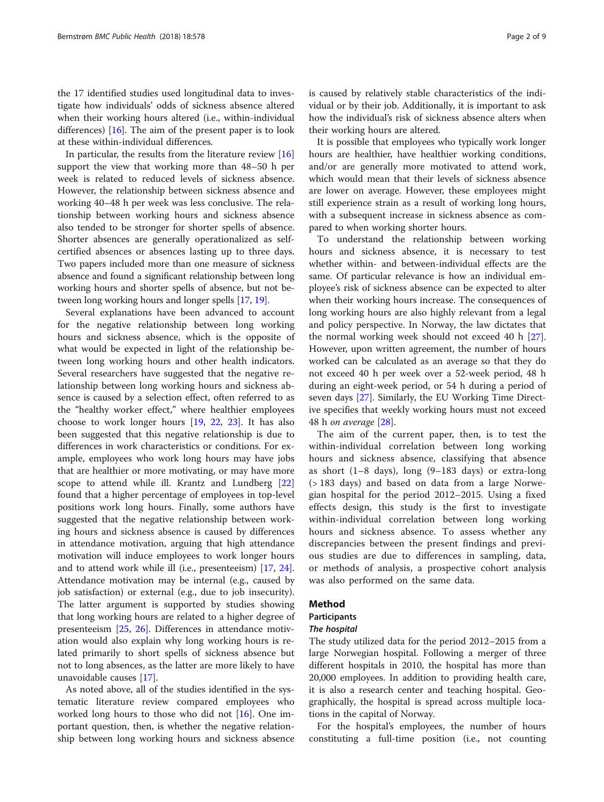the 17 identified studies used longitudinal data to investigate how individuals' odds of sickness absence altered when their working hours altered (i.e., within-individual differences)  $[16]$ . The aim of the present paper is to look at these within-individual differences.

In particular, the results from the literature review [[16](#page-8-0)] support the view that working more than 48–50 h per week is related to reduced levels of sickness absence. However, the relationship between sickness absence and working 40–48 h per week was less conclusive. The relationship between working hours and sickness absence also tended to be stronger for shorter spells of absence. Shorter absences are generally operationalized as selfcertified absences or absences lasting up to three days. Two papers included more than one measure of sickness absence and found a significant relationship between long working hours and shorter spells of absence, but not between long working hours and longer spells [[17](#page-8-0), [19\]](#page-8-0).

Several explanations have been advanced to account for the negative relationship between long working hours and sickness absence, which is the opposite of what would be expected in light of the relationship between long working hours and other health indicators. Several researchers have suggested that the negative relationship between long working hours and sickness absence is caused by a selection effect, often referred to as the "healthy worker effect," where healthier employees choose to work longer hours [[19,](#page-8-0) [22](#page-8-0), [23](#page-8-0)]. It has also been suggested that this negative relationship is due to differences in work characteristics or conditions. For example, employees who work long hours may have jobs that are healthier or more motivating, or may have more scope to attend while ill. Krantz and Lundberg [[22](#page-8-0)] found that a higher percentage of employees in top-level positions work long hours. Finally, some authors have suggested that the negative relationship between working hours and sickness absence is caused by differences in attendance motivation, arguing that high attendance motivation will induce employees to work longer hours and to attend work while ill (i.e., presenteeism) [[17,](#page-8-0) [24](#page-8-0)]. Attendance motivation may be internal (e.g., caused by job satisfaction) or external (e.g., due to job insecurity). The latter argument is supported by studies showing that long working hours are related to a higher degree of presenteeism [\[25](#page-8-0), [26](#page-8-0)]. Differences in attendance motivation would also explain why long working hours is related primarily to short spells of sickness absence but not to long absences, as the latter are more likely to have unavoidable causes [[17\]](#page-8-0).

As noted above, all of the studies identified in the systematic literature review compared employees who worked long hours to those who did not  $[16]$  $[16]$ . One important question, then, is whether the negative relationship between long working hours and sickness absence is caused by relatively stable characteristics of the individual or by their job. Additionally, it is important to ask how the individual's risk of sickness absence alters when their working hours are altered.

It is possible that employees who typically work longer hours are healthier, have healthier working conditions, and/or are generally more motivated to attend work, which would mean that their levels of sickness absence are lower on average. However, these employees might still experience strain as a result of working long hours, with a subsequent increase in sickness absence as compared to when working shorter hours.

To understand the relationship between working hours and sickness absence, it is necessary to test whether within- and between-individual effects are the same. Of particular relevance is how an individual employee's risk of sickness absence can be expected to alter when their working hours increase. The consequences of long working hours are also highly relevant from a legal and policy perspective. In Norway, the law dictates that the normal working week should not exceed 40 h [\[27](#page-8-0)]. However, upon written agreement, the number of hours worked can be calculated as an average so that they do not exceed 40 h per week over a 52-week period, 48 h during an eight-week period, or 54 h during a period of seven days [[27](#page-8-0)]. Similarly, the EU Working Time Directive specifies that weekly working hours must not exceed 48 h on average [\[28](#page-8-0)].

The aim of the current paper, then, is to test the within-individual correlation between long working hours and sickness absence, classifying that absence as short (1–8 days), long (9–183 days) or extra-long (> 183 days) and based on data from a large Norwegian hospital for the period 2012–2015. Using a fixed effects design, this study is the first to investigate within-individual correlation between long working hours and sickness absence. To assess whether any discrepancies between the present findings and previous studies are due to differences in sampling, data, or methods of analysis, a prospective cohort analysis was also performed on the same data.

# Method

# Participants

The study utilized data for the period 2012–2015 from a large Norwegian hospital. Following a merger of three different hospitals in 2010, the hospital has more than 20,000 employees. In addition to providing health care, it is also a research center and teaching hospital. Geographically, the hospital is spread across multiple locations in the capital of Norway.

For the hospital's employees, the number of hours constituting a full-time position (i.e., not counting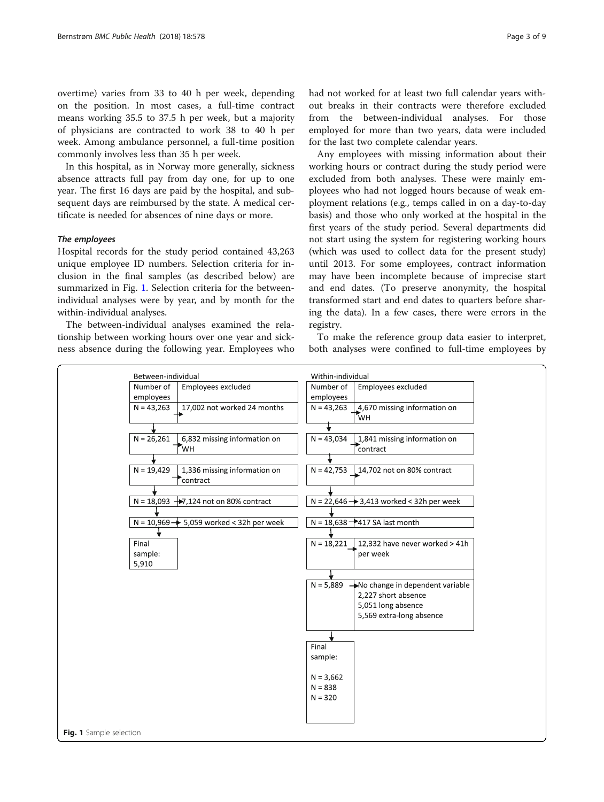overtime) varies from 33 to 40 h per week, depending on the position. In most cases, a full-time contract means working 35.5 to 37.5 h per week, but a majority of physicians are contracted to work 38 to 40 h per week. Among ambulance personnel, a full-time position commonly involves less than 35 h per week.

In this hospital, as in Norway more generally, sickness absence attracts full pay from day one, for up to one year. The first 16 days are paid by the hospital, and subsequent days are reimbursed by the state. A medical certificate is needed for absences of nine days or more.

Hospital records for the study period contained 43,263 unique employee ID numbers. Selection criteria for inclusion in the final samples (as described below) are summarized in Fig. 1. Selection criteria for the betweenindividual analyses were by year, and by month for the within-individual analyses.

The between-individual analyses examined the relationship between working hours over one year and sickness absence during the following year. Employees who

Any employees with missing information about their working hours or contract during the study period were excluded from both analyses. These were mainly employees who had not logged hours because of weak employment relations (e.g., temps called in on a day-to-day basis) and those who only worked at the hospital in the first years of the study period. Several departments did not start using the system for registering working hours (which was used to collect data for the present study) until 2013. For some employees, contract information may have been incomplete because of imprecise start and end dates. (To preserve anonymity, the hospital transformed start and end dates to quarters before sharing the data). In a few cases, there were errors in the registry.

To make the reference group data easier to interpret, both analyses were confined to full-time employees by

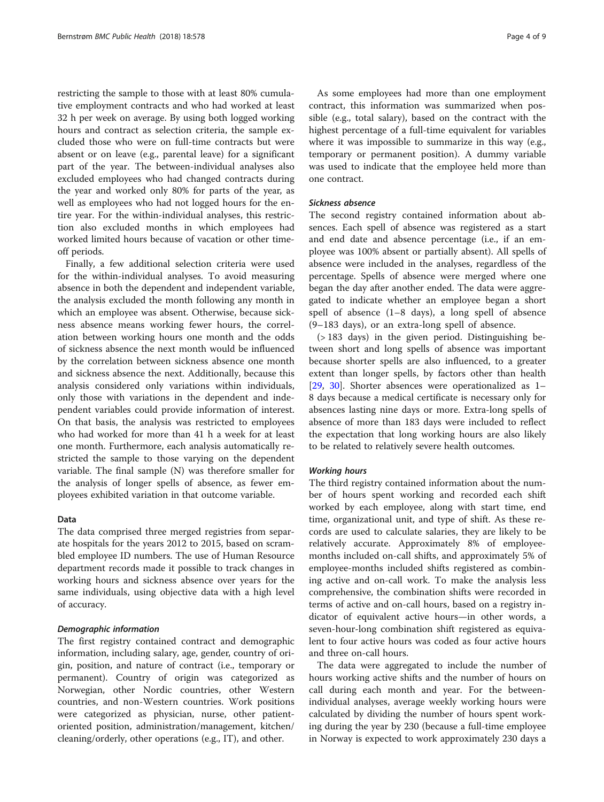restricting the sample to those with at least 80% cumulative employment contracts and who had worked at least 32 h per week on average. By using both logged working hours and contract as selection criteria, the sample excluded those who were on full-time contracts but were absent or on leave (e.g., parental leave) for a significant part of the year. The between-individual analyses also excluded employees who had changed contracts during the year and worked only 80% for parts of the year, as well as employees who had not logged hours for the entire year. For the within-individual analyses, this restriction also excluded months in which employees had worked limited hours because of vacation or other timeoff periods.

Finally, a few additional selection criteria were used for the within-individual analyses. To avoid measuring absence in both the dependent and independent variable, the analysis excluded the month following any month in which an employee was absent. Otherwise, because sickness absence means working fewer hours, the correlation between working hours one month and the odds of sickness absence the next month would be influenced by the correlation between sickness absence one month and sickness absence the next. Additionally, because this analysis considered only variations within individuals, only those with variations in the dependent and independent variables could provide information of interest. On that basis, the analysis was restricted to employees who had worked for more than 41 h a week for at least one month. Furthermore, each analysis automatically restricted the sample to those varying on the dependent variable. The final sample (N) was therefore smaller for the analysis of longer spells of absence, as fewer employees exhibited variation in that outcome variable.

# Data

The data comprised three merged registries from separate hospitals for the years 2012 to 2015, based on scrambled employee ID numbers. The use of Human Resource department records made it possible to track changes in working hours and sickness absence over years for the same individuals, using objective data with a high level of accuracy.

The first registry contained contract and demographic information, including salary, age, gender, country of origin, position, and nature of contract (i.e., temporary or permanent). Country of origin was categorized as Norwegian, other Nordic countries, other Western countries, and non-Western countries. Work positions were categorized as physician, nurse, other patientoriented position, administration/management, kitchen/ cleaning/orderly, other operations (e.g., IT), and other.

As some employees had more than one employment contract, this information was summarized when possible (e.g., total salary), based on the contract with the highest percentage of a full-time equivalent for variables where it was impossible to summarize in this way (e.g., temporary or permanent position). A dummy variable was used to indicate that the employee held more than one contract.

# Sickness absence

The second registry contained information about absences. Each spell of absence was registered as a start and end date and absence percentage (i.e., if an employee was 100% absent or partially absent). All spells of absence were included in the analyses, regardless of the percentage. Spells of absence were merged where one began the day after another ended. The data were aggregated to indicate whether an employee began a short spell of absence (1–8 days), a long spell of absence (9–183 days), or an extra-long spell of absence.

(> 183 days) in the given period. Distinguishing between short and long spells of absence was important because shorter spells are also influenced, to a greater extent than longer spells, by factors other than health [[29,](#page-8-0) [30\]](#page-8-0). Shorter absences were operationalized as 1– 8 days because a medical certificate is necessary only for absences lasting nine days or more. Extra-long spells of absence of more than 183 days were included to reflect the expectation that long working hours are also likely to be related to relatively severe health outcomes.

The third registry contained information about the number of hours spent working and recorded each shift worked by each employee, along with start time, end time, organizational unit, and type of shift. As these records are used to calculate salaries, they are likely to be relatively accurate. Approximately 8% of employeemonths included on-call shifts, and approximately 5% of employee-months included shifts registered as combining active and on-call work. To make the analysis less comprehensive, the combination shifts were recorded in terms of active and on-call hours, based on a registry indicator of equivalent active hours—in other words, a seven-hour-long combination shift registered as equivalent to four active hours was coded as four active hours and three on-call hours.

The data were aggregated to include the number of hours working active shifts and the number of hours on call during each month and year. For the betweenindividual analyses, average weekly working hours were calculated by dividing the number of hours spent working during the year by 230 (because a full-time employee in Norway is expected to work approximately 230 days a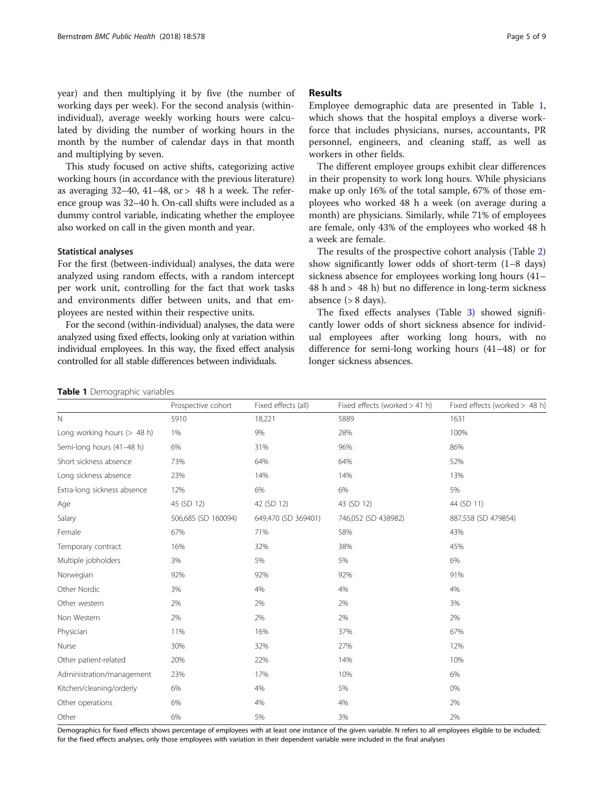year) and then multiplying it by five (the number of working days per week). For the second analysis (withinindividual), average weekly working hours were calculated by dividing the number of working hours in the month by the number of calendar days in that month and multiplying by seven.

This study focused on active shifts, categorizing active working hours (in accordance with the previous literature) as averaging  $32-40$ ,  $41-48$ , or  $> 48$  h a week. The reference group was 32–40 h. On-call shifts were included as a dummy control variable, indicating whether the employee also worked on call in the given month and year.

### Statistical analyses

For the first (between-individual) analyses, the data were analyzed using random effects, with a random intercept per work unit, controlling for the fact that work tasks and environments differ between units, and that employees are nested within their respective units.

For the second (within-individual) analyses, the data were analyzed using fixed effects, looking only at variation within individual employees. In this way, the fixed effect analysis controlled for all stable differences between individuals.

### Results

Employee demographic data are presented in Table 1, which shows that the hospital employs a diverse workforce that includes physicians, nurses, accountants, PR personnel, engineers, and cleaning staff, as well as workers in other fields.

The different employee groups exhibit clear differences in their propensity to work long hours. While physicians make up only 16% of the total sample, 67% of those employees who worked 48 h a week (on average during a month) are physicians. Similarly, while 71% of employees are female, only 43% of the employees who worked 48 h a week are female.

The results of the prospective cohort analysis (Table [2](#page-5-0)) show significantly lower odds of short-term (1–8 days) sickness absence for employees working long hours (41– 48 h and > 48 h) but no difference in long-term sickness absence (> 8 days).

The fixed effects analyses (Table [3\)](#page-6-0) showed significantly lower odds of short sickness absence for individual employees after working long hours, with no difference for semi-long working hours (41–48) or for longer sickness absences.

### Table 1 Demographic variables

|                               | Prospective cohort  | Fixed effects (all) | Fixed effects (worked > 41 h) | Fixed effects (worked > 48 h) |  |
|-------------------------------|---------------------|---------------------|-------------------------------|-------------------------------|--|
| $\mathbb N$                   | 5910                | 18,221              | 5889                          | 1631                          |  |
| Long working hours $(> 48 h)$ | 1%                  | 9%                  | 28%                           | 100%                          |  |
| Semi-long hours (41-48 h)     | 6%                  | 31%                 | 96%                           | 86%                           |  |
| Short sickness absence        | 73%                 | 64%                 | 64%                           | 52%                           |  |
| Long sickness absence         | 23%                 | 14%                 | 14%                           | 13%                           |  |
| Extra-long sickness absence   | 12%                 | 6%                  | 6%                            | 5%                            |  |
| Age                           | 45 (SD 12)          | 42 (SD 12)          | 43 (SD 12)                    | 44 (SD 11)                    |  |
| Salary                        | 506,685 (SD 160094) | 649,470 (SD 369401) | 746,052 (SD 438982)           | 887,558 (SD 479854)           |  |
| Female                        | 67%                 | 71%                 | 58%                           | 43%                           |  |
| Temporary contract            | 16%                 | 32%                 | 38%                           | 45%                           |  |
| Multiple jobholders           | 3%                  | 5%                  | 5%                            | 6%                            |  |
| Norwegian                     | 92%                 | 92%                 | 92%                           | 91%                           |  |
| Other Nordic                  | 3%                  | 4%                  | 4%                            | 4%                            |  |
| Other western                 | 2%                  | 2%                  | 2%                            | 3%                            |  |
| Non Western                   | 2%                  | 2%                  | 2%                            | 2%                            |  |
| Physician                     | 11%                 | 16%                 | 37%                           | 67%                           |  |
| Nurse                         | 30%                 | 32%                 | 27%                           | 12%                           |  |
| Other patient-related         | 20%                 | 22%                 | 14%                           | 10%                           |  |
| Administration/management     | 23%                 | 17%                 | 10%                           | 6%                            |  |
| Kitchen/cleaning/orderly      | 6%                  | 4%                  | 5%                            | 0%                            |  |
| Other operations              | 6%                  | 4%                  | 4%                            | 2%                            |  |
| Other                         | 6%                  | 5%                  | 3%                            | 2%                            |  |

Demographics for fixed effects shows percentage of employees with at least one instance of the given variable. N refers to all employees eligible to be included; for the fixed effects analyses, only those employees with variation in their dependent variable were included in the final analyses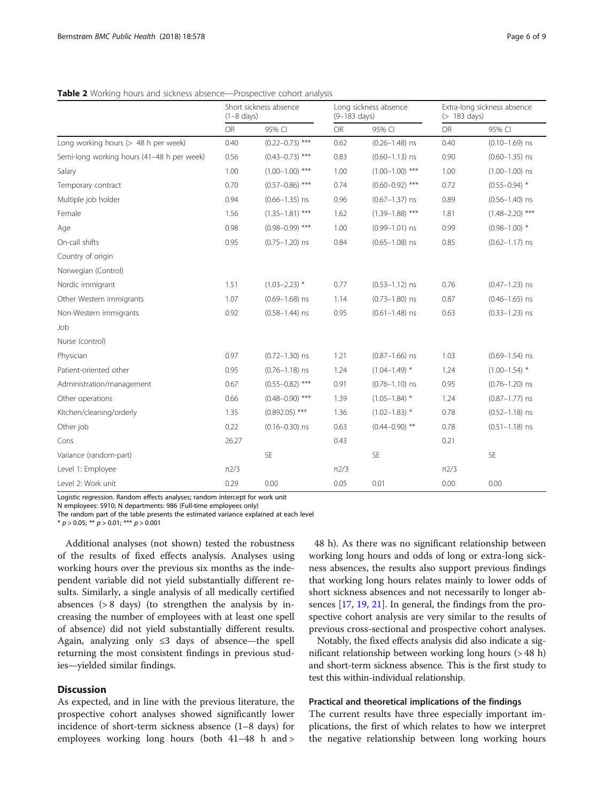<span id="page-5-0"></span>

|                                            | Short sickness absence<br>$(1-8$ days) |                     | Long sickness absence<br>$(9-183$ days) |                     | Extra-long sickness absence<br>$(> 183 \text{ days})$ |                     |
|--------------------------------------------|----------------------------------------|---------------------|-----------------------------------------|---------------------|-------------------------------------------------------|---------------------|
|                                            | OR                                     | 95% CI              | <b>OR</b>                               | 95% CI              | <b>OR</b>                                             | 95% CI              |
| Long working hours $(> 48 h$ per week)     | 0.40                                   | $(0.22 - 0.73)$ *** | 0.62                                    | $(0.26 - 1.48)$ ns  | 0.40                                                  | $(0.10 - 1.69)$ ns  |
| Semi-long working hours (41-48 h per week) | 0.56                                   | $(0.43 - 0.73)$ *** | 0.83                                    | $(0.60 - 1.13)$ ns  | 0.90                                                  | $(0.60 - 1.35)$ ns  |
| Salary                                     | 1.00                                   | $(1.00-1.00)$ ***   | 1.00                                    | $(1.00-1.00)$ ***   | 1.00                                                  | $(1.00 - 1.00)$ ns  |
| Temporary contract                         | 0.70                                   | $(0.57 - 0.86)$ *** | 0.74                                    | $(0.60 - 0.92)$ *** | 0.72                                                  | $(0.55 - 0.94)$ *   |
| Multiple job holder                        | 0.94                                   | $(0.66 - 1.35)$ ns  | 0.96                                    | $(0.67 - 1.37)$ ns  | 0.89                                                  | $(0.56 - 1.40)$ ns  |
| Female                                     | 1.56                                   | $(1.35 - 1.81)$ *** | 1.62                                    | $(1.39 - 1.88)$ *** | 1.81                                                  | $(1.48 - 2.20)$ *** |
| Age                                        | 0.98                                   | $(0.98 - 0.99)$ *** | 1.00                                    | $(0.99 - 1.01)$ ns  | 0.99                                                  | $(0.98 - 1.00)$ *   |
| On-call shifts                             | 0.95                                   | $(0.75 - 1.20)$ ns  | 0.84                                    | $(0.65 - 1.08)$ ns  | 0.85                                                  | $(0.62 - 1.17)$ ns  |
| Country of origin                          |                                        |                     |                                         |                     |                                                       |                     |
| Norwegian (Control)                        |                                        |                     |                                         |                     |                                                       |                     |
| Nordic immigrant                           | 1.51                                   | $(1.03 - 2.23)$ *   | 0.77                                    | $(0.53 - 1.12)$ ns  | 0.76                                                  | $(0.47 - 1.23)$ ns  |
| Other Western immigrants                   | 1.07                                   | $(0.69 - 1.68)$ ns  | 1.14                                    | $(0.73 - 1.80)$ ns  | 0.87                                                  | $(0.46 - 1.65)$ ns  |
| Non-Western immigrants                     | 0.92                                   | $(0.58 - 1.44)$ ns  | 0.95                                    | $(0.61 - 1.48)$ ns  | 0.63                                                  | $(0.33 - 1.23)$ ns  |
| Job                                        |                                        |                     |                                         |                     |                                                       |                     |
| Nurse (control)                            |                                        |                     |                                         |                     |                                                       |                     |
| Physician                                  | 0.97                                   | $(0.72 - 1.30)$ ns  | 1.21                                    | $(0.87 - 1.66)$ ns  | 1.03                                                  | $(0.69 - 1.54)$ ns  |
| Patient-oriented other                     | 0.95                                   | $(0.76 - 1.18)$ ns  | 1.24                                    | $(1.04 - 1.49)$ *   | 1.24                                                  | $(1.00 - 1.54)$ *   |
| Administration/management                  | 0.67                                   | $(0.55 - 0.82)$ *** | 0.91                                    | $(0.76 - 1.10)$ ns  | 0.95                                                  | $(0.76 - 1.20)$ ns  |
| Other operations                           | 0.66                                   | $(0.48 - 0.90)$ *** | 1.39                                    | $(1.05 - 1.84)$ *   | 1.24                                                  | $(0.87 - 1.77)$ ns  |
| Kitchen/cleaning/orderly                   | 1.35                                   | $(0.892.05)$ ***    | 1.36                                    | $(1.02 - 1.83)$ *   | 0.78                                                  | $(0.52 - 1.18)$ ns  |
| Other job                                  | 0.22                                   | $(0.16 - 0.30)$ ns  | 0.63                                    | $(0.44 - 0.90)$ **  | 0.78                                                  | $(0.51 - 1.18)$ ns  |
| Cons                                       | 26.27                                  |                     | 0.43                                    |                     | 0.21                                                  |                     |
| Variance (random-part)                     |                                        | <b>SE</b>           |                                         | <b>SE</b>           |                                                       | <b>SE</b>           |
| Level 1: Employee                          | $\pi$ 2/3                              |                     | $\pi$ 2/3                               |                     | $\pi$ 2/3                                             |                     |
| Level 2: Work unit                         | 0.29                                   | 0.00                | 0.05                                    | 0.01                | 0.00                                                  | 0.00                |

Logistic regression. Random effects analyses; random intercept for work unit

N employees: 5910; N departments: 986 (Full-time employees only)

The random part of the table presents the estimated variance explained at each level

 $* p > 0.05; ** p > 0.01; *** p > 0.001$ 

Additional analyses (not shown) tested the robustness of the results of fixed effects analysis. Analyses using working hours over the previous six months as the independent variable did not yield substantially different results. Similarly, a single analysis of all medically certified absences (> 8 days) (to strengthen the analysis by increasing the number of employees with at least one spell of absence) did not yield substantially different results. Again, analyzing only ≤3 days of absence—the spell returning the most consistent findings in previous studies—yielded similar findings.

# **Discussion**

As expected, and in line with the previous literature, the prospective cohort analyses showed significantly lower incidence of short-term sickness absence (1–8 days) for employees working long hours (both 41–48 h and >

48 h). As there was no significant relationship between working long hours and odds of long or extra-long sickness absences, the results also support previous findings that working long hours relates mainly to lower odds of short sickness absences and not necessarily to longer absences [\[17,](#page-8-0) [19,](#page-8-0) [21\]](#page-8-0). In general, the findings from the prospective cohort analysis are very similar to the results of previous cross-sectional and prospective cohort analyses.

Notably, the fixed effects analysis did also indicate a significant relationship between working long hours (> 48 h) and short-term sickness absence. This is the first study to test this within-individual relationship.

#### Practical and theoretical implications of the findings

The current results have three especially important implications, the first of which relates to how we interpret the negative relationship between long working hours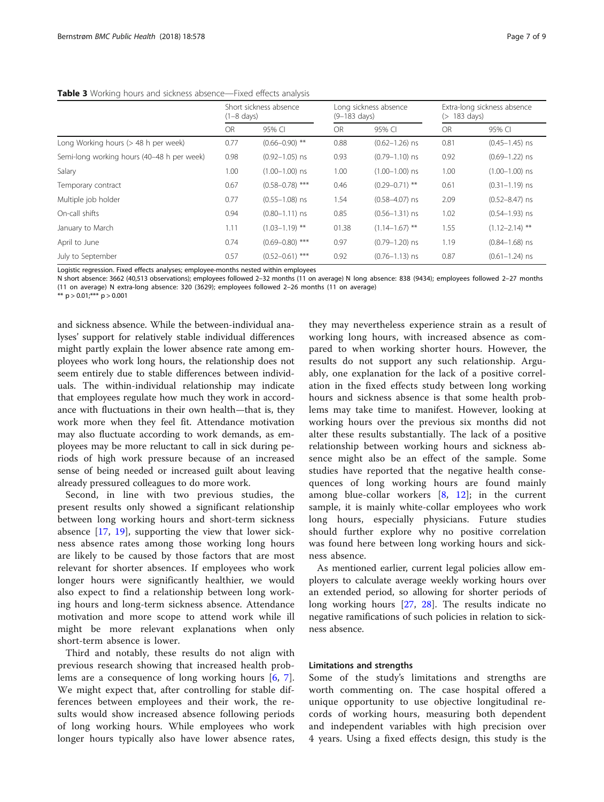### <span id="page-6-0"></span>Table 3 Working hours and sickness absence—Fixed effects analysis

|                                            | Short sickness absence<br>$(1-8 \text{ days})$ |                     | Long sickness absence<br>$(9 - 183 \text{ days})$ |                    | Extra-long sickness absence<br>183 days)<br>( |                    |
|--------------------------------------------|------------------------------------------------|---------------------|---------------------------------------------------|--------------------|-----------------------------------------------|--------------------|
|                                            | <b>OR</b>                                      | 95% CI              | <b>OR</b>                                         | 95% CI             | <b>OR</b>                                     | 95% CI             |
| Long Working hours (> 48 h per week)       | 0.77                                           | $(0.66 - 0.90)$ **  | 0.88                                              | $(0.62 - 1.26)$ ns | 0.81                                          | $(0.45 - 1.45)$ ns |
| Semi-long working hours (40-48 h per week) | 0.98                                           | $(0.92 - 1.05)$ ns  | 0.93                                              | $(0.79 - 1.10)$ ns | 0.92                                          | $(0.69 - 1.22)$ ns |
| Salary                                     | 1.00                                           | $(1.00 - 1.00)$ ns  | 1.00                                              | $(1.00 - 1.00)$ ns | 1.00                                          | $(1.00 - 1.00)$ ns |
| Temporary contract                         | 0.67                                           | $(0.58 - 0.78)$ *** | 0.46                                              | $(0.29 - 0.71)$ ** | 0.61                                          | $(0.31 - 1.19)$ ns |
| Multiple job holder                        | 0.77                                           | $(0.55 - 1.08)$ ns  | 1.54                                              | $(0.58 - 4.07)$ ns | 2.09                                          | $(0.52 - 8.47)$ ns |
| On-call shifts                             | 0.94                                           | $(0.80 - 1.11)$ ns  | 0.85                                              | $(0.56 - 1.31)$ ns | 1.02                                          | $(0.54 - 1.93)$ ns |
| January to March                           | 1.11                                           | $(1.03 - 1.19)$ **  | 01.38                                             | $(1.14 - 1.67)$ ** | 1.55                                          | $(1.12 - 2.14)$ ** |
| April to June                              | 0.74                                           | $(0.69 - 0.80)$ *** | 0.97                                              | $(0.79 - 1.20)$ ns | 1.19                                          | $(0.84 - 1.68)$ ns |
| July to September                          | 0.57                                           | $(0.52 - 0.61)$ *** | 0.92                                              | $(0.76 - 1.13)$ ns | 0.87                                          | $(0.61 - 1.24)$ ns |

Logistic regression. Fixed effects analyses; employee-months nested within employees

N short absence: 3662 (40,513 observations); employees followed 2–32 months (11 on average) N long absence: 838 (9434); employees followed 2–27 months (11 on average) N extra-long absence: 320 (3629); employees followed 2–26 months (11 on average)

\*\*  $p > 0.01$ ;\*\*\*  $p > 0.001$ 

and sickness absence. While the between-individual analyses' support for relatively stable individual differences might partly explain the lower absence rate among employees who work long hours, the relationship does not seem entirely due to stable differences between individuals. The within-individual relationship may indicate that employees regulate how much they work in accordance with fluctuations in their own health—that is, they work more when they feel fit. Attendance motivation may also fluctuate according to work demands, as employees may be more reluctant to call in sick during periods of high work pressure because of an increased sense of being needed or increased guilt about leaving already pressured colleagues to do more work.

Second, in line with two previous studies, the present results only showed a significant relationship between long working hours and short-term sickness absence [[17,](#page-8-0) [19](#page-8-0)], supporting the view that lower sickness absence rates among those working long hours are likely to be caused by those factors that are most relevant for shorter absences. If employees who work longer hours were significantly healthier, we would also expect to find a relationship between long working hours and long-term sickness absence. Attendance motivation and more scope to attend work while ill might be more relevant explanations when only short-term absence is lower.

Third and notably, these results do not align with previous research showing that increased health problems are a consequence of long working hours [[6,](#page-8-0) [7](#page-8-0)]. We might expect that, after controlling for stable differences between employees and their work, the results would show increased absence following periods of long working hours. While employees who work longer hours typically also have lower absence rates,

they may nevertheless experience strain as a result of working long hours, with increased absence as compared to when working shorter hours. However, the results do not support any such relationship. Arguably, one explanation for the lack of a positive correlation in the fixed effects study between long working hours and sickness absence is that some health problems may take time to manifest. However, looking at working hours over the previous six months did not alter these results substantially. The lack of a positive relationship between working hours and sickness absence might also be an effect of the sample. Some studies have reported that the negative health consequences of long working hours are found mainly among blue-collar workers  $[8, 12]$  $[8, 12]$  $[8, 12]$ ; in the current sample, it is mainly white-collar employees who work long hours, especially physicians. Future studies should further explore why no positive correlation was found here between long working hours and sickness absence.

As mentioned earlier, current legal policies allow employers to calculate average weekly working hours over an extended period, so allowing for shorter periods of long working hours [[27](#page-8-0), [28\]](#page-8-0). The results indicate no negative ramifications of such policies in relation to sickness absence.

#### Limitations and strengths

Some of the study's limitations and strengths are worth commenting on. The case hospital offered a unique opportunity to use objective longitudinal records of working hours, measuring both dependent and independent variables with high precision over 4 years. Using a fixed effects design, this study is the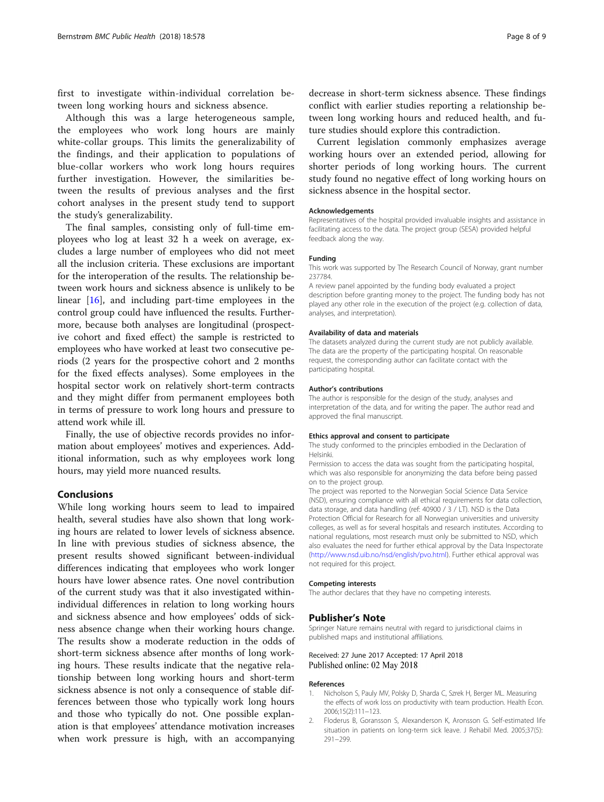<span id="page-7-0"></span>first to investigate within-individual correlation between long working hours and sickness absence.

Although this was a large heterogeneous sample, the employees who work long hours are mainly white-collar groups. This limits the generalizability of the findings, and their application to populations of blue-collar workers who work long hours requires further investigation. However, the similarities between the results of previous analyses and the first cohort analyses in the present study tend to support the study's generalizability.

The final samples, consisting only of full-time employees who log at least 32 h a week on average, excludes a large number of employees who did not meet all the inclusion criteria. These exclusions are important for the interoperation of the results. The relationship between work hours and sickness absence is unlikely to be linear [\[16](#page-8-0)], and including part-time employees in the control group could have influenced the results. Furthermore, because both analyses are longitudinal (prospective cohort and fixed effect) the sample is restricted to employees who have worked at least two consecutive periods (2 years for the prospective cohort and 2 months for the fixed effects analyses). Some employees in the hospital sector work on relatively short-term contracts and they might differ from permanent employees both in terms of pressure to work long hours and pressure to attend work while ill.

Finally, the use of objective records provides no information about employees' motives and experiences. Additional information, such as why employees work long hours, may yield more nuanced results.

# Conclusions

While long working hours seem to lead to impaired health, several studies have also shown that long working hours are related to lower levels of sickness absence. In line with previous studies of sickness absence, the present results showed significant between-individual differences indicating that employees who work longer hours have lower absence rates. One novel contribution of the current study was that it also investigated withinindividual differences in relation to long working hours and sickness absence and how employees' odds of sickness absence change when their working hours change. The results show a moderate reduction in the odds of short-term sickness absence after months of long working hours. These results indicate that the negative relationship between long working hours and short-term sickness absence is not only a consequence of stable differences between those who typically work long hours and those who typically do not. One possible explanation is that employees' attendance motivation increases when work pressure is high, with an accompanying

decrease in short-term sickness absence. These findings conflict with earlier studies reporting a relationship between long working hours and reduced health, and future studies should explore this contradiction.

Current legislation commonly emphasizes average working hours over an extended period, allowing for shorter periods of long working hours. The current study found no negative effect of long working hours on sickness absence in the hospital sector.

#### Acknowledgements

Representatives of the hospital provided invaluable insights and assistance in facilitating access to the data. The project group (SESA) provided helpful feedback along the way.

#### Funding

This work was supported by The Research Council of Norway, grant number 237784.

A review panel appointed by the funding body evaluated a project description before granting money to the project. The funding body has not played any other role in the execution of the project (e.g. collection of data, analyses, and interpretation).

#### Availability of data and materials

The datasets analyzed during the current study are not publicly available. The data are the property of the participating hospital. On reasonable request, the corresponding author can facilitate contact with the participating hospital.

#### Author's contributions

The author is responsible for the design of the study, analyses and interpretation of the data, and for writing the paper. The author read and approved the final manuscript.

#### Ethics approval and consent to participate

The study conformed to the principles embodied in the Declaration of Helsinki.

Permission to access the data was sought from the participating hospital, which was also responsible for anonymizing the data before being passed on to the project group.

The project was reported to the Norwegian Social Science Data Service (NSD), ensuring compliance with all ethical requirements for data collection, data storage, and data handling (ref: 40900 / 3 / LT). NSD is the Data Protection Official for Research for all Norwegian universities and university colleges, as well as for several hospitals and research institutes. According to national regulations, most research must only be submitted to NSD, which also evaluates the need for further ethical approval by the Data Inspectorate ([http://www.nsd.uib.no/nsd/english/pvo.html\)](http://www.nsd.uib.no/nsd/english/pvo.html). Further ethical approval was not required for this project.

#### Competing interests

The author declares that they have no competing interests.

#### Publisher's Note

Springer Nature remains neutral with regard to jurisdictional claims in published maps and institutional affiliations.

#### Received: 27 June 2017 Accepted: 17 April 2018 Published online: 02 May 2018

### References

- 1. Nicholson S, Pauly MV, Polsky D, Sharda C, Szrek H, Berger ML. Measuring the effects of work loss on productivity with team production. Health Econ. 2006;15(2):111−123.
- 2. Floderus B, Goransson S, Alexanderson K, Aronsson G. Self-estimated life situation in patients on long-term sick leave. J Rehabil Med. 2005;37(5): 291−299.